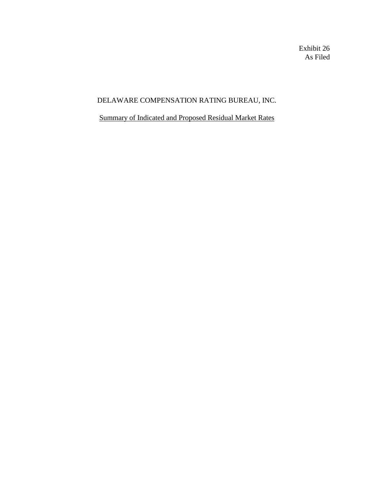Exhibit 26 As Filed

# DELAWARE COMPENSATION RATING BUREAU, INC.

## Summary of Indicated and Proposed Residual Market Rates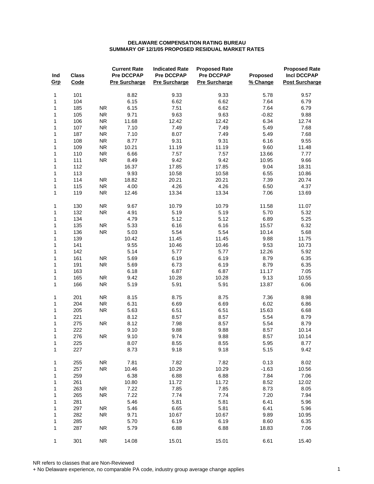| Ind<br>Grp   | <b>Class</b><br>Code |            | <b>Current Rate</b><br>Pre DCCPAP<br><b>Pre Surcharge</b> | <b>Indicated Rate</b><br>Pre DCCPAP<br><b>Pre Surcharge</b> | <b>Proposed Rate</b><br>Pre DCCPAP<br><b>Pre Surcharge</b> | Proposed<br>% Change | <b>Proposed Rate</b><br><b>Incl DCCPAP</b><br><b>Post Surcharge</b> |
|--------------|----------------------|------------|-----------------------------------------------------------|-------------------------------------------------------------|------------------------------------------------------------|----------------------|---------------------------------------------------------------------|
| 1            | 101                  |            | 8.82                                                      | 9.33                                                        | 9.33                                                       | 5.78                 | 9.57                                                                |
| 1            | 104                  |            | 6.15                                                      | 6.62                                                        | 6.62                                                       | 7.64                 | 6.79                                                                |
| 1            | 185                  | <b>NR</b>  | 6.15                                                      | 7.51                                                        | 6.62                                                       | 7.64                 | 6.79                                                                |
| 1            | 105                  | <b>NR</b>  | 9.71                                                      | 9.63                                                        | 9.63                                                       | $-0.82$              | 9.88                                                                |
| 1            | 106                  | <b>NR</b>  | 11.68                                                     | 12.42                                                       | 12.42                                                      | 6.34                 | 12.74                                                               |
| $\mathbf{1}$ | 107                  | <b>NR</b>  | 7.10                                                      | 7.49                                                        | 7.49                                                       | 5.49                 | 7.68                                                                |
| 1            | 187                  | <b>NR</b>  | 7.10                                                      | 8.07                                                        | 7.49                                                       | 5.49                 | 7.68                                                                |
| 1            | 108                  | <b>NR</b>  | 8.77                                                      | 9.31                                                        | 9.31                                                       | 6.16                 | 9.55                                                                |
| 1            | 109                  | <b>NR</b>  | 10.21                                                     | 11.19                                                       | 11.19                                                      | 9.60                 | 11.48                                                               |
| 1            | 110                  | ${\sf NR}$ | 6.66                                                      | 7.57                                                        | 7.57                                                       | 13.66                | 7.77                                                                |
| 1            | 111                  | ${\sf NR}$ | 8.49                                                      | 9.42                                                        | 9.42                                                       | 10.95                | 9.66                                                                |
| 1            | 112                  |            | 16.37                                                     | 17.85                                                       | 17.85                                                      | 9.04                 | 18.31                                                               |
| 1            | 113                  |            | 9.93                                                      | 10.58                                                       | 10.58                                                      | 6.55                 | 10.86                                                               |
| 1            | 114                  | ${\sf NR}$ | 18.82                                                     | 20.21                                                       | 20.21                                                      | 7.39                 | 20.74                                                               |
| $\mathbf{1}$ | 115                  | ${\sf NR}$ | 4.00                                                      | 4.26                                                        | 4.26                                                       | 6.50                 | 4.37                                                                |
| 1            | 119                  | <b>NR</b>  | 12.46                                                     | 13.34                                                       | 13.34                                                      | 7.06                 | 13.69                                                               |
| 1            | 130                  | <b>NR</b>  | 9.67                                                      | 10.79                                                       | 10.79                                                      | 11.58                | 11.07                                                               |
| 1            | 132                  | <b>NR</b>  | 4.91                                                      | 5.19                                                        | 5.19                                                       | 5.70                 | 5.32                                                                |
| 1            | 134                  |            | 4.79                                                      | 5.12                                                        | 5.12                                                       | 6.89                 | 5.25                                                                |
| $\mathbf{1}$ | 135                  | <b>NR</b>  | 5.33                                                      | 6.16                                                        | 6.16                                                       | 15.57                | 6.32                                                                |
| 1            | 136                  | <b>NR</b>  | 5.03                                                      | 5.54                                                        | 5.54                                                       | 10.14                | 5.68                                                                |
| 1            | 139                  |            | 10.42                                                     | 11.45                                                       | 11.45                                                      | 9.88                 | 11.75                                                               |
| 1            | 141                  |            | 9.55                                                      | 10.46                                                       | 10.46                                                      | 9.53                 | 10.73                                                               |
| 1            | 142                  |            | 5.14                                                      | 5.77                                                        | 5.77                                                       | 12.26                | 5.92                                                                |
| 1            | 161                  | <b>NR</b>  | 5.69                                                      | 6.19                                                        | 6.19                                                       | 8.79                 | 6.35                                                                |
| 1            | 191                  | <b>NR</b>  | 5.69                                                      | 6.73                                                        | 6.19                                                       | 8.79                 | 6.35                                                                |
| 1            | 163                  |            | 6.18                                                      | 6.87                                                        | 6.87                                                       | 11.17                | 7.05                                                                |
| 1            | 165                  | <b>NR</b>  | 9.42                                                      | 10.28                                                       | 10.28                                                      | 9.13                 | 10.55                                                               |
| 1            | 166                  | <b>NR</b>  | 5.19                                                      | 5.91                                                        | 5.91                                                       | 13.87                | 6.06                                                                |
| 1            | 201                  | <b>NR</b>  | 8.15                                                      | 8.75                                                        | 8.75                                                       | 7.36                 | 8.98                                                                |
| 1            | 204                  | <b>NR</b>  | 6.31                                                      | 6.69                                                        | 6.69                                                       | 6.02                 | 6.86                                                                |
| 1            | 205                  | ${\sf NR}$ | 5.63                                                      | 6.51                                                        | 6.51                                                       | 15.63                | 6.68                                                                |
| 1            | 221                  |            | 8.12                                                      | 8.57                                                        | 8.57                                                       | 5.54                 | 8.79                                                                |
| 1            | 275                  | <b>NR</b>  | 8.12                                                      | 7.98                                                        | 8.57                                                       | 5.54                 | 8.79                                                                |
| 1            | 222                  |            | 9.10                                                      | 9.88                                                        | 9.88                                                       | 8.57                 | 10.14                                                               |
| 1            | 276                  | <b>NR</b>  | 9.10                                                      | 9.74                                                        | 9.88                                                       | 8.57                 | 10.14                                                               |
| 1            | 225                  |            | 8.07                                                      | 8.55                                                        | 8.55                                                       | 5.95                 | 8.77                                                                |
| 1            | 227                  |            | 8.73                                                      | 9.18                                                        | 9.18                                                       | 5.15                 | 9.42                                                                |
| 1            | 255                  | <b>NR</b>  | 7.81                                                      | 7.82                                                        | 7.82                                                       | 0.13                 | 8.02                                                                |
| 1            | 257                  | <b>NR</b>  | 10.46                                                     | 10.29                                                       | 10.29                                                      | $-1.63$              | 10.56                                                               |
| 1            | 259                  |            | 6.38                                                      | 6.88                                                        | 6.88                                                       | 7.84                 | 7.06                                                                |
| 1            | 261                  |            | 10.80                                                     | 11.72                                                       | 11.72                                                      | 8.52                 | 12.02                                                               |
| 1            | 263                  | <b>NR</b>  | 7.22<br>7.22                                              | 7.85                                                        | 7.85                                                       | 8.73<br>7.20         | 8.05                                                                |
| 1            | 265                  | <b>NR</b>  |                                                           | 7.74                                                        | 7.74<br>5.81                                               | 6.41                 | 7.94<br>5.96                                                        |
| 1<br>1       | 281<br>297           | <b>NR</b>  | 5.46<br>5.46                                              | 5.81<br>6.65                                                | 5.81                                                       | 6.41                 | 5.96                                                                |
| 1            | 282                  | <b>NR</b>  | 9.71                                                      | 10.67                                                       | 10.67                                                      | 9.89                 | 10.95                                                               |
| 1            | 285                  |            | 5.70                                                      | 6.19                                                        | 6.19                                                       | 8.60                 | 6.35                                                                |
| 1            | 287                  | <b>NR</b>  | 5.79                                                      | 6.88                                                        | 6.88                                                       | 18.83                | 7.06                                                                |
|              |                      |            |                                                           |                                                             |                                                            |                      |                                                                     |
| 1            | 301                  | <b>NR</b>  | 14.08                                                     | 15.01                                                       | 15.01                                                      | 6.61                 | 15.40                                                               |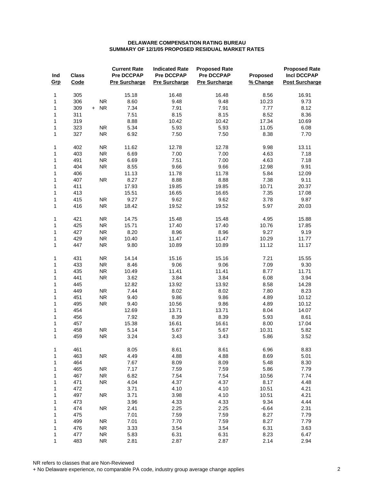| Ind<br>Grp   | <b>Class</b><br>Code |                         | <b>Current Rate</b><br><b>Pre DCCPAP</b><br><b>Pre Surcharge</b> | <b>Indicated Rate</b><br><b>Pre DCCPAP</b><br><b>Pre Surcharge</b> | <b>Proposed Rate</b><br><b>Pre DCCPAP</b><br><b>Pre Surcharge</b> | Proposed<br>% Change | <b>Proposed Rate</b><br><b>Incl DCCPAP</b><br><b>Post Surcharge</b> |
|--------------|----------------------|-------------------------|------------------------------------------------------------------|--------------------------------------------------------------------|-------------------------------------------------------------------|----------------------|---------------------------------------------------------------------|
| 1            | 305                  |                         | 15.18                                                            | 16.48                                                              | 16.48                                                             | 8.56                 | 16.91                                                               |
| 1            | 306                  | <b>NR</b>               | 8.60                                                             | 9.48                                                               | 9.48                                                              | 10.23                | 9.73                                                                |
| 1            | 309                  | + NR                    | 7.34                                                             | 7.91                                                               | 7.91                                                              | 7.77                 | 8.12                                                                |
| 1            | 311                  |                         | 7.51                                                             | 8.15                                                               | 8.15                                                              | 8.52                 | 8.36                                                                |
| 1            | 319                  |                         | 8.88                                                             | 10.42                                                              | 10.42                                                             | 17.34                | 10.69                                                               |
| 1            | 323                  | <b>NR</b>               | 5.34                                                             | 5.93                                                               | 5.93                                                              | 11.05                | 6.08                                                                |
| 1            | 327                  | <b>NR</b>               | 6.92                                                             | 7.50                                                               | 7.50                                                              | 8.38                 | 7.70                                                                |
| 1            | 402                  | <b>NR</b>               | 11.62                                                            | 12.78                                                              | 12.78                                                             | 9.98                 | 13.11                                                               |
| 1            | 403                  | <b>NR</b>               | 6.69                                                             | 7.00                                                               | 7.00                                                              | 4.63                 | 7.18                                                                |
| 1            | 491                  | <b>NR</b>               | 6.69                                                             | 7.51                                                               | 7.00                                                              | 4.63                 | 7.18                                                                |
| 1            | 404                  | ${\sf NR}$              | 8.55                                                             | 9.66                                                               | 9.66                                                              | 12.98                | 9.91                                                                |
| 1            | 406                  |                         | 11.13                                                            | 11.78                                                              | 11.78                                                             | 5.84                 | 12.09                                                               |
| 1            | 407                  | <b>NR</b>               | 8.27                                                             | 8.88                                                               | 8.88                                                              | 7.38                 | 9.11                                                                |
| 1            | 411                  |                         | 17.93                                                            | 19.85                                                              | 19.85                                                             | 10.71                | 20.37                                                               |
| 1            | 413                  |                         | 15.51                                                            | 16.65                                                              | 16.65                                                             | 7.35                 | 17.08                                                               |
| 1            | 415                  | <b>NR</b>               | 9.27                                                             | 9.62                                                               | 9.62                                                              | 3.78                 | 9.87                                                                |
| $\mathbf{1}$ | 416                  | <b>NR</b>               | 18.42                                                            | 19.52                                                              | 19.52                                                             | 5.97                 | 20.03                                                               |
| 1            | 421                  | <b>NR</b>               | 14.75                                                            | 15.48                                                              | 15.48                                                             | 4.95                 | 15.88                                                               |
| 1            | 425                  | <b>NR</b>               | 15.71                                                            | 17.40                                                              | 17.40                                                             | 10.76                | 17.85                                                               |
| 1            | 427                  | <b>NR</b>               | 8.20                                                             | 8.96                                                               | 8.96                                                              | 9.27                 | 9.19                                                                |
| 1            | 429                  | <b>NR</b>               | 10.40                                                            | 11.47                                                              | 11.47                                                             | 10.29                | 11.77                                                               |
| 1            | 447                  | <b>NR</b>               | 9.80                                                             | 10.89                                                              | 10.89                                                             | 11.12                | 11.17                                                               |
| 1            | 431                  | <b>NR</b>               | 14.14                                                            | 15.16                                                              | 15.16                                                             | 7.21                 | 15.55                                                               |
| 1            | 433                  | <b>NR</b>               | 8.46                                                             | 9.06                                                               | 9.06                                                              | 7.09                 | 9.30                                                                |
| 1            | 435                  | ${\sf NR}$              | 10.49                                                            | 11.41                                                              | 11.41                                                             | 8.77                 | 11.71                                                               |
| 1            | 441                  | ${\sf NR}$              | 3.62                                                             | 3.84                                                               | 3.84                                                              | 6.08                 | 3.94                                                                |
| 1            | 445<br>449           |                         | 12.82                                                            | 13.92                                                              | 13.92                                                             | 8.58                 | 14.28                                                               |
| 1            |                      | <b>NR</b>               | 7.44                                                             | 8.02                                                               | 8.02                                                              | 7.80                 | 8.23                                                                |
| 1<br>1       | 451<br>495           | <b>NR</b><br>${\sf NR}$ | 9.40<br>9.40                                                     | 9.86                                                               | 9.86<br>9.86                                                      | 4.89<br>4.89         | 10.12                                                               |
|              | 454                  |                         | 12.69                                                            | 10.56                                                              | 13.71                                                             | 8.04                 | 10.12<br>14.07                                                      |
| 1<br>1       | 456                  |                         | 7.92                                                             | 13.71<br>8.39                                                      | 8.39                                                              | 5.93                 | 8.61                                                                |
| 1            | 457                  |                         | 15.38                                                            | 16.61                                                              | 16.61                                                             | 8.00                 | 17.04                                                               |
| 1            | 458                  | ${\sf NR}$              | 5.14                                                             | 5.67                                                               | 5.67                                                              | 10.31                | 5.82                                                                |
| 1            | 459                  | <b>NR</b>               | 3.24                                                             | 3.43                                                               | 3.43                                                              | 5.86                 | 3.52                                                                |
| 1            | 461                  |                         | 8.05                                                             | 8.61                                                               | 8.61                                                              | 6.96                 | 8.83                                                                |
| 1            | 463                  | <b>NR</b>               | 4.49                                                             | 4.88                                                               | 4.88                                                              | 8.69                 | 5.01                                                                |
| 1            | 464                  |                         | 7.67                                                             | 8.09                                                               | 8.09                                                              | 5.48                 | 8.30                                                                |
| 1            | 465                  | <b>NR</b>               | 7.17                                                             | 7.59                                                               | 7.59                                                              | 5.86                 | 7.79                                                                |
| 1            | 467                  | <b>NR</b>               | 6.82                                                             | 7.54                                                               | 7.54                                                              | 10.56                | 7.74                                                                |
| 1            | 471                  | <b>NR</b>               | 4.04                                                             | 4.37                                                               | 4.37                                                              | 8.17                 | 4.48                                                                |
| 1            | 472                  |                         | 3.71                                                             | 4.10                                                               | 4.10                                                              | 10.51                | 4.21                                                                |
| 1            | 497                  | ${\sf NR}$              | 3.71                                                             | 3.98                                                               | 4.10                                                              | 10.51                | 4.21                                                                |
| 1            | 473                  |                         | 3.96                                                             | 4.33                                                               | 4.33                                                              | 9.34                 | 4.44                                                                |
| 1            | 474                  | <b>NR</b>               | 2.41                                                             | 2.25                                                               | 2.25                                                              | $-6.64$              | 2.31                                                                |
| 1            | 475                  |                         | 7.01                                                             | 7.59                                                               | 7.59                                                              | 8.27                 | 7.79                                                                |
| 1            | 499                  | <b>NR</b>               | 7.01                                                             | 7.70                                                               | 7.59                                                              | 8.27                 | 7.79                                                                |
| 1            | 476                  | <b>NR</b>               | 3.33                                                             | 3.54                                                               | 3.54                                                              | 6.31                 | 3.63                                                                |
| 1            | 477                  | <b>NR</b>               | 5.83                                                             | 6.31                                                               | 6.31                                                              | 8.23                 | 6.47                                                                |
| 1            | 483                  | <b>NR</b>               | 2.81                                                             | 2.87                                                               | 2.87                                                              | 2.14                 | 2.94                                                                |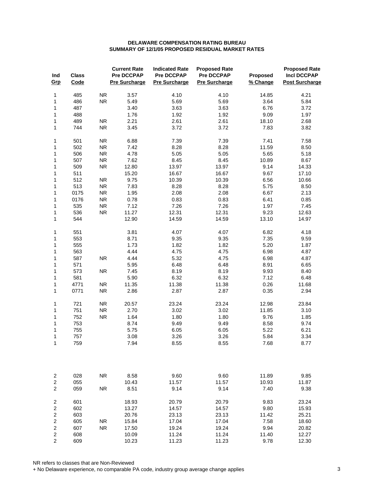| Ind<br>Grp                                | <b>Class</b><br>Code |            | <b>Current Rate</b><br>Pre DCCPAP<br>Pre Surcharge | <b>Indicated Rate</b><br><b>Pre DCCPAP</b><br><b>Pre Surcharge</b> | <b>Proposed Rate</b><br>Pre DCCPAP<br><b>Pre Surcharge</b> | Proposed<br>% Change | <b>Proposed Rate</b><br><b>Incl DCCPAP</b><br><b>Post Surcharge</b> |
|-------------------------------------------|----------------------|------------|----------------------------------------------------|--------------------------------------------------------------------|------------------------------------------------------------|----------------------|---------------------------------------------------------------------|
| 1                                         | 485                  | ${\sf NR}$ | 3.57                                               | 4.10                                                               | 4.10                                                       | 14.85                | 4.21                                                                |
| 1                                         | 486                  | <b>NR</b>  | 5.49                                               | 5.69                                                               | 5.69                                                       | 3.64                 | 5.84                                                                |
| 1                                         | 487                  |            | 3.40                                               | 3.63                                                               | 3.63                                                       | 6.76                 | 3.72                                                                |
| $\mathbf{1}$                              | 488                  |            | 1.76                                               | 1.92                                                               | 1.92                                                       | 9.09                 | 1.97                                                                |
| $\mathbf{1}$                              | 489                  | <b>NR</b>  | 2.21                                               | 2.61                                                               | 2.61                                                       | 18.10                | 2.68                                                                |
| $\mathbf{1}$                              | 744                  | ${\sf NR}$ | 3.45                                               | 3.72                                                               | 3.72                                                       | 7.83                 | 3.82                                                                |
| 1                                         | 501                  | <b>NR</b>  | 6.88                                               | 7.39                                                               | 7.39                                                       | 7.41                 | 7.58                                                                |
| 1                                         | 502                  | <b>NR</b>  | 7.42                                               | 8.28                                                               | 8.28                                                       | 11.59                | 8.50                                                                |
| 1                                         | 506                  | <b>NR</b>  | 4.78                                               | 5.05                                                               | 5.05                                                       | 5.65                 | 5.18                                                                |
| 1                                         | 507                  | <b>NR</b>  | 7.62                                               | 8.45                                                               | 8.45                                                       | 10.89                | 8.67                                                                |
| 1                                         | 509                  | <b>NR</b>  | 12.80                                              | 13.97                                                              | 13.97                                                      | 9.14                 | 14.33                                                               |
| 1                                         | 511                  |            | 15.20                                              | 16.67                                                              | 16.67                                                      | 9.67                 | 17.10                                                               |
| $\mathbf{1}$                              | 512                  | <b>NR</b>  | 9.75                                               | 10.39                                                              | 10.39                                                      | 6.56                 | 10.66                                                               |
| 1                                         | 513                  | <b>NR</b>  | 7.83                                               | 8.28                                                               | 8.28                                                       | 5.75                 | 8.50                                                                |
| 1                                         | 0175                 | <b>NR</b>  | 1.95                                               | 2.08                                                               | 2.08                                                       | 6.67                 | 2.13                                                                |
| $\mathbf{1}$                              | 0176                 | <b>NR</b>  | 0.78                                               | 0.83                                                               | 0.83                                                       | 6.41                 | 0.85                                                                |
| 1                                         | 535                  | <b>NR</b>  | 7.12                                               | 7.26                                                               | 7.26                                                       | 1.97                 | 7.45                                                                |
| 1                                         | 536                  | <b>NR</b>  | 11.27                                              | 12.31                                                              | 12.31                                                      | 9.23                 | 12.63                                                               |
| 1                                         | 544                  |            | 12.90                                              | 14.59                                                              | 14.59                                                      | 13.10                | 14.97                                                               |
| 1                                         | 551                  |            | 3.81                                               | 4.07                                                               | 4.07                                                       | 6.82                 | 4.18                                                                |
| 1                                         | 553                  |            | 8.71                                               | 9.35                                                               | 9.35                                                       | 7.35                 | 9.59                                                                |
| 1                                         | 555                  |            | 1.73                                               | 1.82                                                               | 1.82                                                       | 5.20                 | 1.87                                                                |
| 1                                         | 563                  |            | 4.44                                               | 4.75                                                               | 4.75                                                       | 6.98                 | 4.87                                                                |
| 1                                         | 587                  | <b>NR</b>  | 4.44                                               | 5.32                                                               | 4.75                                                       | 6.98                 | 4.87                                                                |
| 1                                         | 571                  |            | 5.95                                               | 6.48                                                               | 6.48                                                       | 8.91                 | 6.65                                                                |
| 1                                         | 573                  | <b>NR</b>  | 7.45                                               | 8.19                                                               | 8.19                                                       | 9.93                 | 8.40                                                                |
| 1                                         | 581                  |            | 5.90                                               | 6.32                                                               | 6.32                                                       | 7.12                 | 6.48                                                                |
| $\mathbf{1}$                              | 4771                 | <b>NR</b>  | 11.35                                              | 11.38                                                              | 11.38                                                      | 0.26                 | 11.68                                                               |
| 1                                         | 0771                 | <b>NR</b>  | 2.86                                               | 2.87                                                               | 2.87                                                       | 0.35                 | 2.94                                                                |
| 1                                         | 721                  | <b>NR</b>  | 20.57                                              | 23.24                                                              | 23.24                                                      | 12.98                | 23.84                                                               |
| 1                                         | 751                  | <b>NR</b>  | 2.70                                               | 3.02                                                               | 3.02                                                       | 11.85                | 3.10                                                                |
| 1                                         | 752                  | <b>NR</b>  | 1.64                                               | 1.80                                                               | 1.80                                                       | 9.76                 | 1.85                                                                |
| 1                                         | 753                  |            | 8.74                                               | 9.49                                                               | 9.49                                                       | 8.58                 | 9.74                                                                |
| 1                                         | 755                  |            | 5.75                                               | 6.05                                                               | 6.05                                                       | 5.22                 | 6.21                                                                |
| 1                                         | 757                  |            | 3.08                                               | 3.26                                                               | 3.26                                                       | 5.84                 | 3.34                                                                |
| 1                                         | 759                  |            | 7.94                                               | 8.55                                                               | 8.55                                                       | 7.68                 | 8.77                                                                |
| $\overline{c}$                            | 028                  | <b>NR</b>  | 8.58                                               | 9.60                                                               | 9.60                                                       | 11.89                | 9.85                                                                |
| $\overline{\mathbf{c}}$<br>$\overline{2}$ | 055<br>059           | <b>NR</b>  | 10.43<br>8.51                                      | 11.57<br>9.14                                                      | 11.57<br>9.14                                              | 10.93<br>7.40        | 11.87<br>9.38                                                       |
| $\boldsymbol{2}$                          | 601                  |            | 18.93                                              | 20.79                                                              | 20.79                                                      | 9.83                 | 23.24                                                               |
| $\boldsymbol{2}$                          | 602                  |            | 13.27                                              | 14.57                                                              | 14.57                                                      | 9.80                 | 15.93                                                               |
| $\overline{c}$                            | 603                  |            | 20.76                                              | 23.13                                                              | 23.13                                                      | 11.42                | 25.21                                                               |
| $\boldsymbol{2}$                          | 605                  | <b>NR</b>  | 15.84                                              | 17.04                                                              | 17.04                                                      | 7.58                 | 18.60                                                               |
| $\boldsymbol{2}$                          | 607                  | <b>NR</b>  | 17.50                                              | 19.24                                                              | 19.24                                                      | 9.94                 | 20.82                                                               |
| $\overline{c}$                            | 608                  |            | 10.09                                              | 11.24                                                              | 11.24                                                      | 11.40                | 12.27                                                               |
| $\boldsymbol{2}$                          | 609                  |            | 10.23                                              | 11.23                                                              | 11.23                                                      | 9.78                 | 12.30                                                               |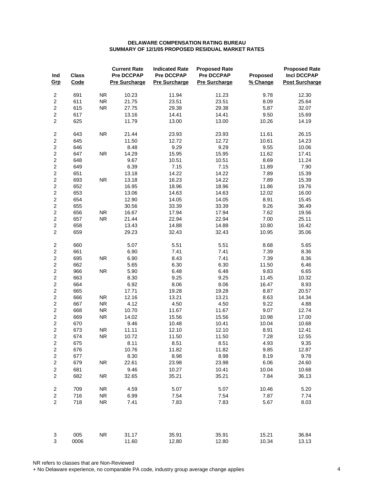| Ind<br>Grp              | <b>Class</b><br>Code |            | <b>Current Rate</b><br><b>Pre DCCPAP</b><br><b>Pre Surcharge</b> | <b>Indicated Rate</b><br><b>Pre DCCPAP</b><br><b>Pre Surcharge</b> | <b>Proposed Rate</b><br>Pre DCCPAP<br><b>Pre Surcharge</b> | Proposed<br>% Change | <b>Proposed Rate</b><br><b>Incl DCCPAP</b><br><b>Post Surcharge</b> |
|-------------------------|----------------------|------------|------------------------------------------------------------------|--------------------------------------------------------------------|------------------------------------------------------------|----------------------|---------------------------------------------------------------------|
| $\overline{\mathbf{c}}$ | 691                  | <b>NR</b>  | 10.23                                                            | 11.94                                                              | 11.23                                                      | 9.78                 | 12.30                                                               |
| $\overline{c}$          | 611                  | <b>NR</b>  | 21.75                                                            | 23.51                                                              | 23.51                                                      | 8.09                 | 25.64                                                               |
| $\overline{c}$          | 615                  | ${\sf NR}$ | 27.75                                                            | 29.38                                                              | 29.38                                                      | 5.87                 | 32.07                                                               |
| $\overline{c}$          | 617                  |            | 13.16                                                            | 14.41                                                              | 14.41                                                      | 9.50                 | 15.69                                                               |
| $\overline{c}$          | 625                  |            | 11.79                                                            | 13.00                                                              | 13.00                                                      | 10.26                | 14.19                                                               |
| $\overline{\mathbf{c}}$ | 643                  | ${\sf NR}$ | 21.44                                                            | 23.93                                                              | 23.93                                                      | 11.61                | 26.15                                                               |
| $\overline{c}$          | 645                  |            | 11.50                                                            | 12.72                                                              | 12.72                                                      | 10.61                | 14.23                                                               |
| $\boldsymbol{2}$        | 646                  |            | 8.48                                                             | 9.29                                                               | 9.29                                                       | 9.55                 | 10.06                                                               |
| $\overline{c}$          | 647                  | <b>NR</b>  | 14.29                                                            | 15.95                                                              | 15.95                                                      | 11.62                | 17.41                                                               |
| $\overline{c}$          | 648                  |            | 9.67                                                             | 10.51                                                              | 10.51                                                      | 8.69                 | 11.24                                                               |
| $\overline{c}$          | 649                  |            | 6.39                                                             | 7.15                                                               | 7.15                                                       | 11.89                | 7.90                                                                |
| $\overline{c}$          | 651                  |            | 13.18                                                            | 14.22                                                              | 14.22                                                      | 7.89                 | 15.39                                                               |
| $\mathbf 2$             | 693                  | ${\sf NR}$ | 13.18                                                            | 16.23                                                              | 14.22                                                      | 7.89                 | 15.39                                                               |
| $\overline{c}$          | 652                  |            | 16.95                                                            | 18.96                                                              | 18.96                                                      | 11.86                | 19.76                                                               |
| $\overline{c}$          | 653                  |            | 13.06                                                            | 14.63                                                              | 14.63                                                      | 12.02                | 16.00                                                               |
| $\overline{c}$          | 654                  |            | 12.90                                                            | 14.05                                                              | 14.05                                                      | 8.91                 | 15.45                                                               |
| $\overline{c}$          | 655                  |            | 30.56                                                            | 33.39                                                              | 33.39                                                      | 9.26                 | 36.49                                                               |
| $\overline{c}$          | 656                  | ${\sf NR}$ | 16.67                                                            | 17.94                                                              | 17.94                                                      | 7.62                 | 19.56                                                               |
| $\overline{c}$          | 657                  | <b>NR</b>  | 21.44                                                            | 22.94                                                              | 22.94                                                      | 7.00                 | 25.11                                                               |
| $\overline{\mathbf{c}}$ | 658                  |            |                                                                  |                                                                    | 14.88                                                      | 10.80                | 16.42                                                               |
| $\overline{c}$          | 659                  |            | 13.43<br>29.23                                                   | 14.88                                                              | 32.43                                                      |                      |                                                                     |
|                         |                      |            |                                                                  | 32.43                                                              |                                                            | 10.95                | 35.06                                                               |
| $\overline{c}$          | 660                  |            | 5.07                                                             | 5.51                                                               | 5.51                                                       | 8.68                 | 5.65                                                                |
| $\overline{c}$          | 661                  |            | 6.90                                                             | 7.41                                                               | 7.41                                                       | 7.39                 | 8.36                                                                |
| $\overline{c}$          | 695                  | <b>NR</b>  | 6.90                                                             | 8.43                                                               | 7.41                                                       | 7.39                 | 8.36                                                                |
| $\overline{c}$          | 662                  |            | 5.65                                                             | 6.30                                                               | 6.30                                                       | 11.50                | 6.46                                                                |
| $\overline{c}$          | 966                  | <b>NR</b>  | 5.90                                                             | 6.48                                                               | 6.48                                                       | 9.83                 | 6.65                                                                |
| $\overline{c}$          | 663                  |            | 8.30                                                             | 9.25                                                               | 9.25                                                       | 11.45                | 10.32                                                               |
| $\overline{\mathbf{c}}$ | 664                  |            | 6.92                                                             | 8.06                                                               | 8.06                                                       | 16.47                | 8.93                                                                |
| $\overline{c}$          | 665                  |            | 17.71                                                            | 19.28                                                              | 19.28                                                      | 8.87                 | 20.57                                                               |
| $\overline{c}$          | 666                  | <b>NR</b>  | 12.16                                                            | 13.21                                                              | 13.21                                                      | 8.63                 | 14.34                                                               |
| $\overline{c}$          | 667                  | <b>NR</b>  | 4.12                                                             | 4.50                                                               | 4.50                                                       | 9.22                 | 4.88                                                                |
| $\overline{c}$          | 668                  | <b>NR</b>  | 10.70                                                            | 11.67                                                              | 11.67                                                      | 9.07                 | 12.74                                                               |
| $\overline{c}$          | 669                  | <b>NR</b>  | 14.02                                                            | 15.56                                                              | 15.56                                                      | 10.98                | 17.00                                                               |
| $\overline{c}$          | 670                  |            | 9.46                                                             | 10.48                                                              | 10.41                                                      | 10.04                | 10.68                                                               |
| $\overline{c}$          | 673                  | ${\sf NR}$ | 11.11                                                            | 12.10                                                              | 12.10                                                      | 8.91                 | 12.41                                                               |
| $\overline{c}$          | 674                  | <b>NR</b>  | 10.72                                                            | 11.50                                                              | 11.50                                                      | 7.28                 | 12.55                                                               |
| $\boldsymbol{2}$        | 675                  |            | 8.11                                                             | 8.51                                                               | 8.51                                                       | 4.93                 | 9.35                                                                |
| $\overline{c}$          | 676                  |            | 10.76                                                            | 11.82                                                              | 11.82                                                      | 9.85                 | 12.87                                                               |
| $\overline{\mathbf{c}}$ | 677                  |            | 8.30                                                             | 8.98                                                               | 8.98                                                       | 8.19                 | 9.78                                                                |
| $\overline{c}$          | 679                  | <b>NR</b>  | 22.61                                                            | 23.98                                                              | 23.98                                                      | 6.06                 | 24.60                                                               |
| $\overline{c}$          | 681                  |            | 9.46                                                             | 10.27                                                              | 10.41                                                      | 10.04                | 10.68                                                               |
| $\boldsymbol{2}$        | 682                  | <b>NR</b>  | 32.65                                                            | 35.21                                                              | 35.21                                                      | 7.84                 | 36.13                                                               |
| $\overline{\mathbf{c}}$ | 709                  | <b>NR</b>  | 4.59                                                             | 5.07                                                               | 5.07                                                       | 10.46                | 5.20                                                                |
| $\overline{c}$          | 716                  | <b>NR</b>  | 6.99                                                             | 7.54                                                               | 7.54                                                       | 7.87                 | 7.74                                                                |
| $\overline{c}$          | 718                  | <b>NR</b>  | 7.41                                                             | 7.83                                                               | 7.83                                                       | 5.67                 | 8.03                                                                |
| 3<br>3                  | 005<br>0006          | <b>NR</b>  | 31.17<br>11.60                                                   | 35.91<br>12.80                                                     | 35.91<br>12.80                                             | 15.21<br>10.34       | 36.84<br>13.13                                                      |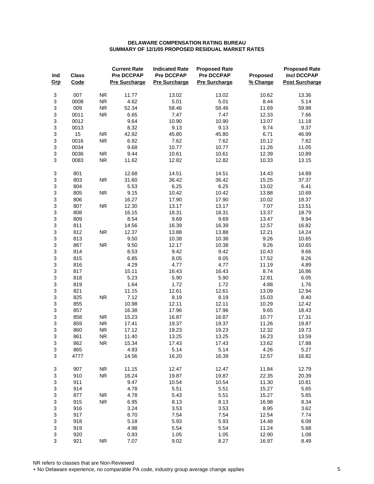| Ind<br>Grp                     | <b>Class</b><br>Code |            | <b>Current Rate</b><br><b>Pre DCCPAP</b><br><b>Pre Surcharge</b> | <b>Indicated Rate</b><br>Pre DCCPAP<br><b>Pre Surcharge</b> | <b>Proposed Rate</b><br>Pre DCCPAP<br><b>Pre Surcharge</b> | Proposed<br>% Change | <b>Proposed Rate</b><br><b>Incl DCCPAP</b><br><b>Post Surcharge</b> |
|--------------------------------|----------------------|------------|------------------------------------------------------------------|-------------------------------------------------------------|------------------------------------------------------------|----------------------|---------------------------------------------------------------------|
| 3                              | 007                  | <b>NR</b>  | 11.77                                                            | 13.02                                                       | 13.02                                                      | 10.62                | 13.36                                                               |
| $\ensuremath{\mathsf{3}}$      | 0008                 | <b>NR</b>  | 4.62                                                             | 5.01                                                        | 5.01                                                       | 8.44                 | 5.14                                                                |
| $\ensuremath{\mathsf{3}}$      | 009                  | ${\sf NR}$ | 52.34                                                            | 58.46                                                       | 58.46                                                      | 11.69                | 59.98                                                               |
| 3                              | 0011                 | ${\sf NR}$ | 6.65                                                             | 7.47                                                        | 7.47                                                       | 12.33                | 7.66                                                                |
| $\ensuremath{\mathsf{3}}$      | 0012                 |            | 9.64                                                             | 10.90                                                       | 10.90                                                      | 13.07                | 11.18                                                               |
| $\mathsf 3$                    | 0013                 |            | 8.32                                                             | 9.13                                                        | 9.13                                                       | 9.74                 | 9.37                                                                |
| 3                              | 15                   | <b>NR</b>  | 42.92                                                            | 45.80                                                       | 45.80                                                      | 6.71                 | 46.99                                                               |
| $\ensuremath{\mathsf{3}}$      | 0016                 | <b>NR</b>  | 6.92                                                             | 7.62                                                        | 7.62                                                       | 10.12                | 7.82                                                                |
| 3                              | 0034                 |            | 9.68                                                             | 10.77                                                       | 10.77                                                      | 11.26                | 11.05                                                               |
| $\ensuremath{\mathsf{3}}$      | 0036                 | ${\sf NR}$ | 9.44                                                             | 10.61                                                       | 10.61                                                      | 12.39                | 10.89                                                               |
| $\ensuremath{\mathsf{3}}$      | 0083                 | ${\sf NR}$ | 11.62                                                            | 12.82                                                       | 12.82                                                      | 10.33                | 13.15                                                               |
| 3                              | 801                  |            | 12.68                                                            | 14.51                                                       | 14.51                                                      | 14.43                | 14.89                                                               |
| $\ensuremath{\mathsf{3}}$      | 803                  | ${\sf NR}$ | 31.60                                                            | 36.42                                                       | 36.42                                                      | 15.25                | 37.37                                                               |
| $\ensuremath{\mathsf{3}}$      | 804                  |            | 5.53                                                             | 6.25                                                        | 6.25                                                       | 13.02                | 6.41                                                                |
| 3                              | 805                  | ${\sf NR}$ | 9.15                                                             | 10.42                                                       | 10.42                                                      | 13.88                | 10.69                                                               |
| $\ensuremath{\mathsf{3}}$<br>3 | 806                  | ${\sf NR}$ | 16.27                                                            | 17.90                                                       | 17.90                                                      | 10.02                | 18.37                                                               |
| $\ensuremath{\mathsf{3}}$      | 807                  |            | 12.30                                                            | 13.17                                                       | 13.17                                                      | 7.07                 | 13.51                                                               |
| 3                              | 808<br>809           |            | 16.15<br>8.54                                                    | 18.31<br>9.69                                               | 18.31<br>9.69                                              | 13.37<br>13.47       | 18.79<br>9.94                                                       |
| 3                              | 811                  |            | 14.56                                                            | 16.39                                                       | 16.39                                                      |                      | 16.82                                                               |
| 3                              | 812                  | <b>NR</b>  | 12.37                                                            | 13.88                                                       | 13.88                                                      | 12.57<br>12.21       | 14.24                                                               |
| 3                              | 813                  |            | 9.50                                                             | 10.38                                                       | 10.38                                                      | 9.26                 | 10.65                                                               |
| $\ensuremath{\mathsf{3}}$      | 867                  | <b>NR</b>  | 9.50                                                             | 12.17                                                       | 10.38                                                      | 9.26                 | 10.65                                                               |
| 3                              | 814                  |            | 8.53                                                             | 9.42                                                        | 9.42                                                       | 10.43                | 9.66                                                                |
| 3                              | 815                  |            | 6.85                                                             | 8.05                                                        | 8.05                                                       | 17.52                | 8.26                                                                |
| 3                              | 816                  |            | 4.29                                                             | 4.77                                                        | 4.77                                                       | 11.19                | 4.89                                                                |
| $\ensuremath{\mathsf{3}}$      | 817                  |            | 15.11                                                            | 16.43                                                       | 16.43                                                      | 8.74                 | 16.86                                                               |
| 3                              | 818                  |            | 5.23                                                             | 5.90                                                        | 5.90                                                       | 12.81                | 6.05                                                                |
| 3                              | 819                  |            | 1.64                                                             | 1.72                                                        | 1.72                                                       | 4.88                 | 1.76                                                                |
| 3                              | 821                  |            | 11.15                                                            | 12.61                                                       | 12.61                                                      | 13.09                | 12.94                                                               |
| 3                              | 825                  | ${\sf NR}$ | 7.12                                                             | 8.19                                                        | 8.19                                                       | 15.03                | 8.40                                                                |
| $\ensuremath{\mathsf{3}}$      | 855                  |            | 10.98                                                            | 12.11                                                       | 12.11                                                      | 10.29                | 12.42                                                               |
| 3                              | 857                  |            | 16.38                                                            | 17.96                                                       | 17.96                                                      | 9.65                 | 18.43                                                               |
| $\ensuremath{\mathsf{3}}$      | 858                  | <b>NR</b>  | 15.23                                                            | 16.87                                                       | 16.87                                                      | 10.77                | 17.31                                                               |
| $\ensuremath{\mathsf{3}}$      | 859                  | <b>NR</b>  | 17.41                                                            | 19.37                                                       | 19.37                                                      | 11.26                | 19.87                                                               |
| 3                              | 860                  | ${\sf NR}$ | 17.12                                                            | 19.23                                                       | 19.23                                                      | 12.32                | 19.73                                                               |
| 3                              | 861                  | <b>NR</b>  | 11.40                                                            | 13.25                                                       | 13.25                                                      | 16.23                | 13.59                                                               |
| 3                              | 862                  | ${\sf NR}$ | 15.34                                                            | 17.43                                                       | 17.43                                                      | 13.62                | 17.88                                                               |
| $\ensuremath{\mathsf{3}}$      | 865                  |            | 4.93                                                             | 5.14                                                        | 5.14                                                       | 4.26                 | 5.27                                                                |
| 3                              | 4777                 |            | 14.56                                                            | 16.20                                                       | 16.39                                                      | 12.57                | 16.82                                                               |
| 3                              | 907                  | <b>NR</b>  | 11.15                                                            | 12.47                                                       | 12.47                                                      | 11.84                | 12.79                                                               |
| 3                              | 910                  | ${\sf NR}$ | 16.24                                                            | 19.87                                                       | 19.87                                                      | 22.35                | 20.39                                                               |
| 3                              | 911                  |            | 9.47                                                             | 10.54                                                       | 10.54                                                      | 11.30                | 10.81                                                               |
| $\ensuremath{\mathsf{3}}$      | 914                  |            | 4.78                                                             | 5.51                                                        | 5.51                                                       | 15.27                | 5.65                                                                |
| 3                              | 877                  | ${\sf NR}$ | 4.78                                                             | 5.43                                                        | 5.51                                                       | 15.27                | 5.65                                                                |
| 3                              | 915                  | ${\sf NR}$ | 6.95                                                             | 8.13                                                        | 8.13                                                       | 16.98                | 8.34                                                                |
| 3                              | 916                  |            | 3.24                                                             | 3.53                                                        | 3.53                                                       | 8.95                 | 3.62                                                                |
| 3                              | 917                  |            | 6.70                                                             | 7.54                                                        | 7.54                                                       | 12.54                | 7.74                                                                |
| $\mathsf 3$                    | 918                  |            | 5.18                                                             | 5.93                                                        | 5.93                                                       | 14.48                | 6.08                                                                |
| 3                              | 919                  |            | 4.98                                                             | 5.54                                                        | 5.54                                                       | 11.24                | 5.68                                                                |
| 3<br>3                         | 920<br>921           | ${\sf NR}$ | 0.93<br>7.07                                                     | 1.05<br>9.02                                                | 1.05<br>8.27                                               | 12.90<br>16.97       | 1.08<br>8.49                                                        |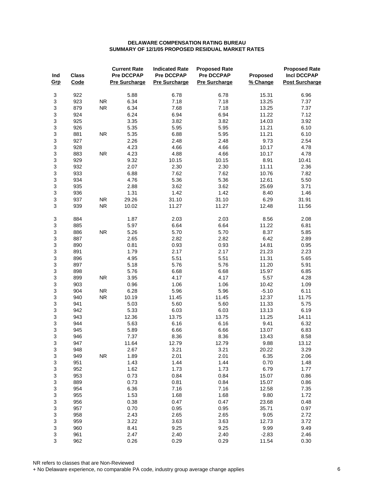| Ind<br>Grp | <b>Class</b><br>Code |            | <b>Current Rate</b><br><b>Pre DCCPAP</b><br><b>Pre Surcharge</b> | <b>Indicated Rate</b><br><b>Pre DCCPAP</b><br><b>Pre Surcharge</b> | <b>Proposed Rate</b><br><b>Pre DCCPAP</b><br><b>Pre Surcharge</b> | Proposed<br>% Change | <b>Proposed Rate</b><br><b>Incl DCCPAP</b><br><b>Post Surcharge</b> |
|------------|----------------------|------------|------------------------------------------------------------------|--------------------------------------------------------------------|-------------------------------------------------------------------|----------------------|---------------------------------------------------------------------|
| 3          | 922                  |            | 5.88                                                             | 6.78                                                               | 6.78                                                              | 15.31                | 6.96                                                                |
| 3          | 923                  | <b>NR</b>  | 6.34                                                             | 7.18                                                               | 7.18                                                              | 13.25                | 7.37                                                                |
| 3          | 879                  | ${\sf NR}$ | 6.34                                                             | 7.68                                                               | 7.18                                                              | 13.25                | 7.37                                                                |
| 3          | 924                  |            | 6.24                                                             | 6.94                                                               | 6.94                                                              | 11.22                | 7.12                                                                |
| 3          | 925                  |            | 3.35                                                             | 3.82                                                               | 3.82                                                              | 14.03                | 3.92                                                                |
| 3          | 926                  |            | 5.35                                                             | 5.95                                                               | 5.95                                                              | 11.21                | 6.10                                                                |
| 3          | 881                  | <b>NR</b>  | 5.35                                                             | 6.88                                                               | 5.95                                                              | 11.21                | 6.10                                                                |
| 3          | 927                  |            | 2.26                                                             | 2.48                                                               | 2.48                                                              | 9.73                 | 2.54                                                                |
| 3          | 928                  |            | 4.23                                                             | 4.66                                                               | 4.66                                                              | 10.17                | 4.78                                                                |
| 3          | 883                  | <b>NR</b>  | 4.23                                                             | 4.88                                                               | 4.66                                                              | 10.17                | 4.78                                                                |
| 3          | 929                  |            | 9.32                                                             | 10.15                                                              | 10.15                                                             | 8.91                 | 10.41                                                               |
| 3          | 932                  |            | 2.07                                                             | 2.30                                                               | 2.30                                                              | 11.11                | 2.36                                                                |
| 3          | 933                  |            | 6.88                                                             | 7.62                                                               | 7.62                                                              | 10.76                | 7.82                                                                |
| 3          | 934                  |            | 4.76                                                             | 5.36                                                               | 5.36                                                              | 12.61                | 5.50                                                                |
| 3          | 935                  |            | 2.88                                                             | 3.62                                                               | 3.62                                                              | 25.69                | 3.71                                                                |
| 3          | 936                  |            | 1.31                                                             | 1.42                                                               | 1.42                                                              | 8.40                 | 1.46                                                                |
| 3          | 937                  | <b>NR</b>  | 29.26                                                            | 31.10                                                              | 31.10                                                             | 6.29                 | 31.91                                                               |
| 3          | 939                  | <b>NR</b>  | 10.02                                                            | 11.27                                                              | 11.27                                                             | 12.48                | 11.56                                                               |
| 3          | 884                  |            | 1.87                                                             | 2.03                                                               | 2.03                                                              | 8.56                 | 2.08                                                                |
| 3          | 885                  |            | 5.97                                                             | 6.64                                                               | 6.64                                                              | 11.22                | 6.81                                                                |
| 3          | 886                  | <b>NR</b>  | 5.26                                                             | 5.70                                                               | 5.70                                                              | 8.37                 | 5.85                                                                |
| 3          | 887                  |            | 2.65                                                             | 2.82                                                               | 2.82                                                              | 6.42                 | 2.89                                                                |
| 3          | 890                  |            | 0.81                                                             | 0.93                                                               | 0.93                                                              | 14.81                | 0.95                                                                |
| 3          | 891                  |            | 1.79                                                             | 2.17                                                               | 2.17                                                              | 21.23                | 2.23                                                                |
| 3          | 896                  |            | 4.95                                                             | 5.51                                                               | 5.51                                                              | 11.31                | 5.65                                                                |
| 3          | 897                  |            | 5.18                                                             | 5.76                                                               | 5.76                                                              | 11.20                | 5.91                                                                |
| 3          | 898                  |            | 5.76                                                             | 6.68                                                               | 6.68                                                              | 15.97                | 6.85                                                                |
| 3          | 899                  | <b>NR</b>  | 3.95                                                             | 4.17                                                               | 4.17                                                              | 5.57                 | 4.28                                                                |
| 3          | 903                  |            | 0.96                                                             | 1.06                                                               | 1.06                                                              | 10.42                | 1.09                                                                |
| 3          | 904                  | <b>NR</b>  | 6.28                                                             | 5.96                                                               | 5.96                                                              | $-5.10$              | 6.11                                                                |
| 3          | 940                  | <b>NR</b>  | 10.19                                                            | 11.45                                                              | 11.45                                                             | 12.37                | 11.75                                                               |
| 3          | 941                  |            | 5.03                                                             | 5.60                                                               | 5.60                                                              | 11.33                | 5.75                                                                |
| 3          | 942                  |            | 5.33                                                             | 6.03                                                               | 6.03                                                              | 13.13                | 6.19                                                                |
| 3          | 943                  |            | 12.36                                                            | 13.75                                                              | 13.75                                                             | 11.25                | 14.11                                                               |
| 3          | 944                  |            | 5.63                                                             | 6.16                                                               | 6.16                                                              | 9.41                 | 6.32                                                                |
| 3          | 945                  |            | 5.89                                                             | 6.66                                                               | 6.66                                                              | 13.07                | 6.83                                                                |
| 3          | 946                  |            | 7.37                                                             | 8.36                                                               | 8.36                                                              | 13.43                | 8.58                                                                |
| 3          | 947                  |            | 11.64                                                            | 12.79                                                              | 12.79                                                             | 9.88                 | 13.12                                                               |
| 3          | 948                  |            | 2.67                                                             | 3.21                                                               | 3.21                                                              | 20.22                | 3.29                                                                |
| 3          | 949                  | <b>NR</b>  | 1.89                                                             | 2.01                                                               | 2.01                                                              | 6.35                 | 2.06                                                                |
| 3          | 951                  |            | 1.43                                                             | 1.44                                                               | 1.44                                                              | 0.70                 | 1.48                                                                |
| 3          | 952                  |            | 1.62                                                             | 1.73                                                               | 1.73                                                              | 6.79                 | 1.77                                                                |
| 3          | 953                  |            | 0.73                                                             | 0.84                                                               | 0.84                                                              | 15.07                | 0.86                                                                |
| 3          | 889                  |            | 0.73                                                             | 0.81                                                               | 0.84                                                              | 15.07                | 0.86                                                                |
| 3          | 954                  |            | 6.36                                                             | 7.16                                                               | 7.16                                                              | 12.58                | 7.35                                                                |
| 3          | 955                  |            | 1.53                                                             | 1.68                                                               | 1.68                                                              | 9.80                 | 1.72                                                                |
| 3          | 956                  |            | 0.38                                                             | 0.47                                                               | 0.47                                                              | 23.68                | 0.48                                                                |
| 3          | 957                  |            | 0.70                                                             | 0.95                                                               | 0.95                                                              | 35.71                | 0.97                                                                |
| 3          | 958                  |            | 2.43                                                             | 2.65                                                               | 2.65                                                              | 9.05                 | 2.72                                                                |
| 3          | 959                  |            | 3.22                                                             | 3.63                                                               | 3.63                                                              | 12.73                | 3.72                                                                |
| 3          | 960                  |            | 8.41                                                             | 9.25                                                               | 9.25                                                              | 9.99                 | 9.49                                                                |
| 3          | 961                  |            | 2.47                                                             | 2.40                                                               | 2.40                                                              | $-2.83$              | 2.46                                                                |
| 3          | 962                  |            | 0.26                                                             | 0.29                                                               | 0.29                                                              | 11.54                | 0.30                                                                |